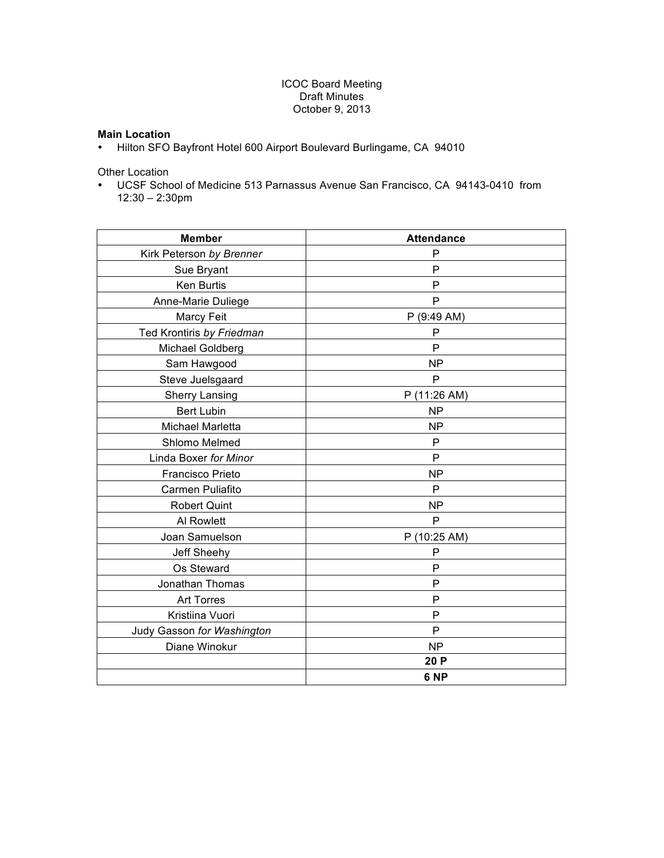# ICOC Board Meeting Draft Minutes October 9, 2013

# **Main Location**

• Hilton SFO Bayfront Hotel 600 Airport Boulevard Burlingame, CA 94010

Other Location

• UCSF School of Medicine 513 Parnassus Avenue San Francisco, CA 94143-0410 from 12:30 – 2:30pm

| <b>Member</b>              | <b>Attendance</b> |  |  |  |
|----------------------------|-------------------|--|--|--|
| Kirk Peterson by Brenner   | $\mathsf{P}$      |  |  |  |
| Sue Bryant                 | $\mathsf{P}$      |  |  |  |
| Ken Burtis                 | P                 |  |  |  |
| Anne-Marie Duliege         | P                 |  |  |  |
| Marcy Feit                 | P (9:49 AM)       |  |  |  |
| Ted Krontiris by Friedman  | P                 |  |  |  |
| Michael Goldberg           | P                 |  |  |  |
| Sam Hawgood                | <b>NP</b>         |  |  |  |
| Steve Juelsgaard           | $\mathsf{P}$      |  |  |  |
| <b>Sherry Lansing</b>      | P (11:26 AM)      |  |  |  |
| <b>Bert Lubin</b>          | <b>NP</b>         |  |  |  |
| Michael Marletta           | <b>NP</b>         |  |  |  |
| Shlomo Melmed              | $\mathsf{P}$      |  |  |  |
| Linda Boxer for Minor      | P                 |  |  |  |
| Francisco Prieto           | <b>NP</b>         |  |  |  |
| Carmen Puliafito           | P                 |  |  |  |
| <b>Robert Quint</b>        | <b>NP</b>         |  |  |  |
| Al Rowlett                 | P                 |  |  |  |
| Joan Samuelson             | P (10:25 AM)      |  |  |  |
| Jeff Sheehy                | P                 |  |  |  |
| Os Steward                 | P                 |  |  |  |
| Jonathan Thomas            | $\mathsf{P}$      |  |  |  |
| <b>Art Torres</b>          | $\mathsf{P}$      |  |  |  |
| Kristiina Vuori            | P                 |  |  |  |
| Judy Gasson for Washington | P                 |  |  |  |
| Diane Winokur              | <b>NP</b>         |  |  |  |
|                            | 20 P              |  |  |  |
|                            | 6 <sub>NP</sub>   |  |  |  |
|                            |                   |  |  |  |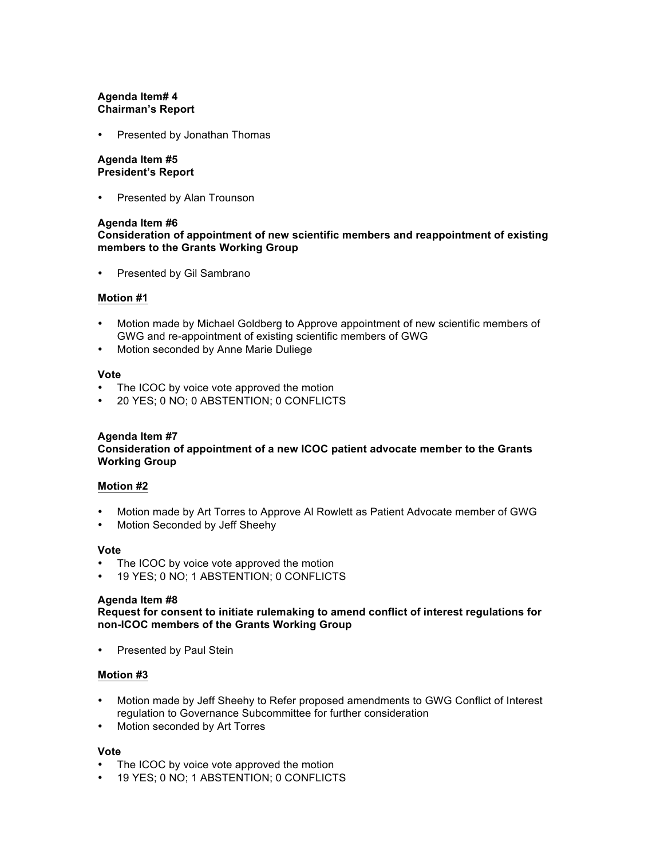# **Agenda Item# 4 Chairman's Report**

Presented by Jonathan Thomas

### **Agenda Item #5 President's Report**

• Presented by Alan Trounson

### **Agenda Item #6**

# **Consideration of appointment of new scientific members and reappointment of existing members to the Grants Working Group**

• Presented by Gil Sambrano

### **Motion #1**

- Motion made by Michael Goldberg to Approve appointment of new scientific members of GWG and re-appointment of existing scientific members of GWG
- Motion seconded by Anne Marie Duliege

### **Vote**

- The ICOC by voice vote approved the motion
- 20 YES; 0 NO; 0 ABSTENTION; 0 CONFLICTS

### **Agenda Item #7**

### **Consideration of appointment of a new ICOC patient advocate member to the Grants Working Group**

### **Motion #2**

- Motion made by Art Torres to Approve Al Rowlett as Patient Advocate member of GWG
- Motion Seconded by Jeff Sheehy

### **Vote**

- The ICOC by voice vote approved the motion
- 19 YES; 0 NO; 1 ABSTENTION; 0 CONFLICTS

#### **Agenda Item #8**

**Request for consent to initiate rulemaking to amend conflict of interest regulations for non-ICOC members of the Grants Working Group** 

• Presented by Paul Stein

# **Motion #3**

- Motion made by Jeff Sheehy to Refer proposed amendments to GWG Conflict of Interest regulation to Governance Subcommittee for further consideration
- Motion seconded by Art Torres

### **Vote**

- The ICOC by voice vote approved the motion
- 19 YES; 0 NO; 1 ABSTENTION; 0 CONFLICTS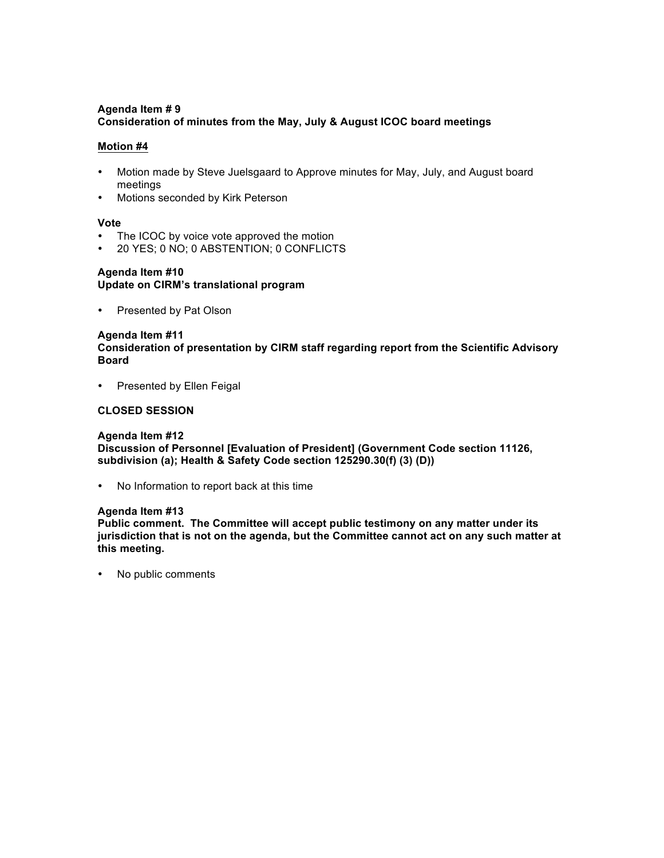# **Agenda Item # 9 Consideration of minutes from the May, July & August ICOC board meetings**

### **Motion #4**

- Motion made by Steve Juelsgaard to Approve minutes for May, July, and August board meetings
- Motions seconded by Kirk Peterson

### **Vote**

- The ICOC by voice vote approved the motion
- 20 YES; 0 NO; 0 ABSTENTION; 0 CONFLICTS

### **Agenda Item #10 Update on CIRM's translational program**

• Presented by Pat Olson

### **Agenda Item #11**

**Consideration of presentation by CIRM staff regarding report from the Scientific Advisory Board** 

• Presented by Ellen Feigal

# **CLOSED SESSION**

# **Agenda Item #12**

**Discussion of Personnel [Evaluation of President] (Government Code section 11126, subdivision (a); Health & Safety Code section 125290.30(f) (3) (D))**

• No Information to report back at this time

### **Agenda Item #13**

**Public comment. The Committee will accept public testimony on any matter under its jurisdiction that is not on the agenda, but the Committee cannot act on any such matter at this meeting.**

• No public comments